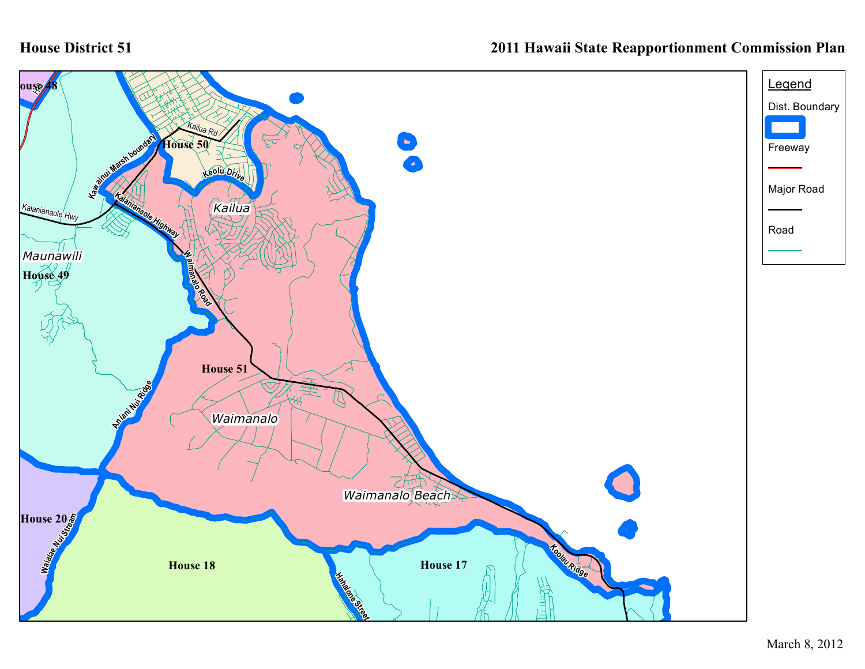## **House District 51**